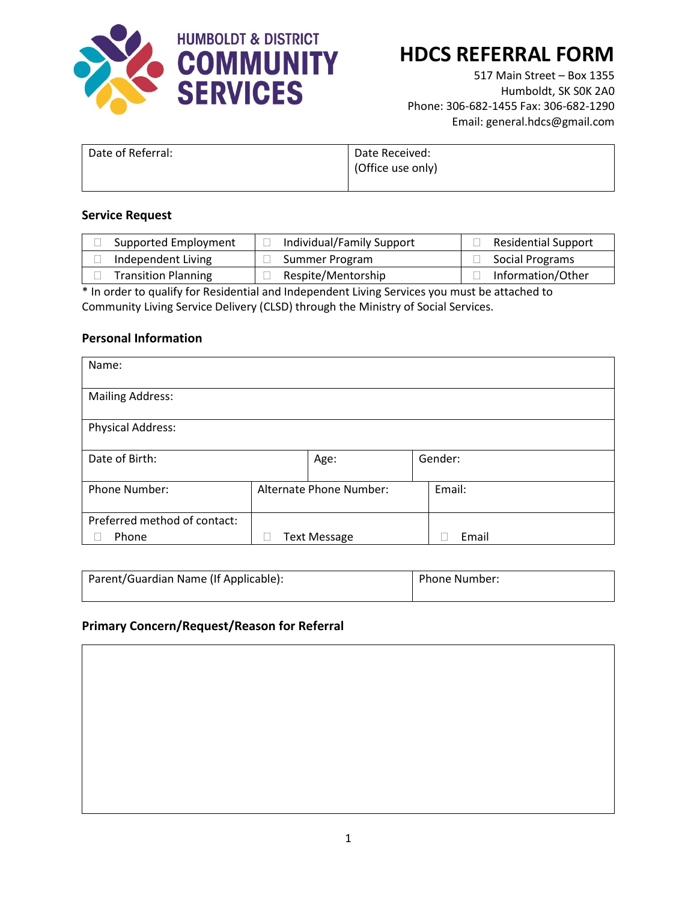

# **HDCS REFERRAL FORM**

517 Main Street – Box 1355 Humboldt, SK S0K 2A0 Phone: 306-682-1455 Fax: 306-682-1290 Email: general.hdcs@gmail.com

| Date of Referral: | Date Received:    |
|-------------------|-------------------|
|                   | (Office use only) |
|                   |                   |

#### **Service Request**

| Supported Employment       | Individual/Family Support | <b>Residential Support</b> |
|----------------------------|---------------------------|----------------------------|
| Independent Living         | Summer Program            | Social Programs            |
| <b>Transition Planning</b> | Respite/Mentorship        | Information/Other          |

\* In order to qualify for Residential and Independent Living Services you must be attached to Community Living Service Delivery (CLSD) through the Ministry of Social Services.

### **Personal Information**

| Name:                        |                         |                     |        |         |
|------------------------------|-------------------------|---------------------|--------|---------|
| <b>Mailing Address:</b>      |                         |                     |        |         |
| <b>Physical Address:</b>     |                         |                     |        |         |
| Date of Birth:               |                         | Age:                |        | Gender: |
| Phone Number:                | Alternate Phone Number: |                     | Email: |         |
| Preferred method of contact: |                         |                     |        |         |
| Phone                        |                         | <b>Text Message</b> |        | Email   |

| Parent/Guardian Name (If Applicable): | Phone Number: |
|---------------------------------------|---------------|
|---------------------------------------|---------------|

### **Primary Concern/Request/Reason for Referral**